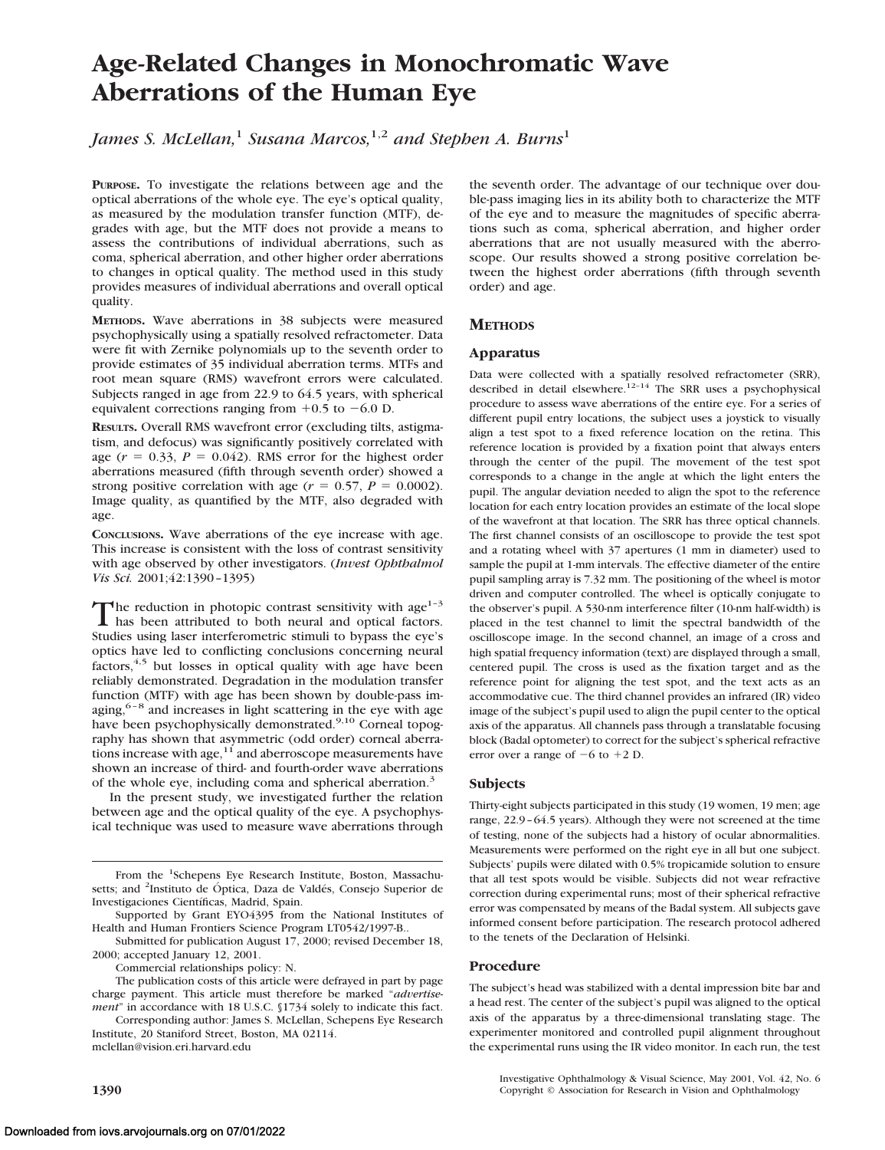# **Age-Related Changes in Monochromatic Wave Aberrations of the Human Eye**

*James S. McLellan*,<sup>1</sup> *Susana Marcos*,<sup>1,2</sup> *and Stephen A. Burns*<sup>1</sup>

**PURPOSE.** To investigate the relations between age and the optical aberrations of the whole eye. The eye's optical quality, as measured by the modulation transfer function (MTF), degrades with age, but the MTF does not provide a means to assess the contributions of individual aberrations, such as coma, spherical aberration, and other higher order aberrations to changes in optical quality. The method used in this study provides measures of individual aberrations and overall optical quality.

**METHODS.** Wave aberrations in 38 subjects were measured psychophysically using a spatially resolved refractometer. Data were fit with Zernike polynomials up to the seventh order to provide estimates of 35 individual aberration terms. MTFs and root mean square (RMS) wavefront errors were calculated. Subjects ranged in age from 22.9 to 64.5 years, with spherical equivalent corrections ranging from  $+0.5$  to  $-6.0$  D.

**RESULTS.** Overall RMS wavefront error (excluding tilts, astigmatism, and defocus) was significantly positively correlated with age  $(r = 0.33, P = 0.042)$ . RMS error for the highest order aberrations measured (fifth through seventh order) showed a strong positive correlation with age ( $r = 0.57$ ,  $P = 0.0002$ ). Image quality, as quantified by the MTF, also degraded with age.

**CONCLUSIONS.** Wave aberrations of the eye increase with age. This increase is consistent with the loss of contrast sensitivity with age observed by other investigators. (*Invest Ophthalmol Vis Sci.* 2001;42:1390–1395)

The reduction in photopic contrast sensitivity with age<sup>1-3</sup><br>has been attributed to both neural and optical factors. Studies using laser interferometric stimuli to bypass the eye's optics have led to conflicting conclusions concerning neural factors,<sup>4,5</sup> but losses in optical quality with age have been reliably demonstrated. Degradation in the modulation transfer function (MTF) with age has been shown by double-pass imaging, $6-8$  and increases in light scattering in the eye with age have been psychophysically demonstrated.<sup>9,10</sup> Corneal topography has shown that asymmetric (odd order) corneal aberrations increase with age, $11$  and aberroscope measurements have shown an increase of third- and fourth-order wave aberrations of the whole eye, including coma and spherical aberration.<sup>3</sup>

In the present study, we investigated further the relation between age and the optical quality of the eye. A psychophysical technique was used to measure wave aberrations through

From the <sup>1</sup>Schepens Eye Research Institute, Boston, Massachusetts; and <sup>2</sup>Instituto de Óptica, Daza de Valdés, Consejo Superior de Investigaciones Científicas, Madrid, Spain.

Submitted for publication August 17, 2000; revised December 18, 2000; accepted January 12, 2001.

Commercial relationships policy: N.

The publication costs of this article were defrayed in part by page charge payment. This article must therefore be marked "*advertisement*" in accordance with 18 U.S.C. §1734 solely to indicate this fact.

Corresponding author: James S. McLellan, Schepens Eye Research Institute, 20 Staniford Street, Boston, MA 02114. mclellan@vision.eri.harvard.edu

the seventh order. The advantage of our technique over double-pass imaging lies in its ability both to characterize the MTF of the eye and to measure the magnitudes of specific aberrations such as coma, spherical aberration, and higher order aberrations that are not usually measured with the aberroscope. Our results showed a strong positive correlation between the highest order aberrations (fifth through seventh order) and age.

# **METHODS**

### **Apparatus**

Data were collected with a spatially resolved refractometer (SRR), described in detail elsewhere.<sup>12-14</sup> The SRR uses a psychophysical procedure to assess wave aberrations of the entire eye. For a series of different pupil entry locations, the subject uses a joystick to visually align a test spot to a fixed reference location on the retina. This reference location is provided by a fixation point that always enters through the center of the pupil. The movement of the test spot corresponds to a change in the angle at which the light enters the pupil. The angular deviation needed to align the spot to the reference location for each entry location provides an estimate of the local slope of the wavefront at that location. The SRR has three optical channels. The first channel consists of an oscilloscope to provide the test spot and a rotating wheel with 37 apertures (1 mm in diameter) used to sample the pupil at 1-mm intervals. The effective diameter of the entire pupil sampling array is 7.32 mm. The positioning of the wheel is motor driven and computer controlled. The wheel is optically conjugate to the observer's pupil. A 530-nm interference filter (10-nm half-width) is placed in the test channel to limit the spectral bandwidth of the oscilloscope image. In the second channel, an image of a cross and high spatial frequency information (text) are displayed through a small, centered pupil. The cross is used as the fixation target and as the reference point for aligning the test spot, and the text acts as an accommodative cue. The third channel provides an infrared (IR) video image of the subject's pupil used to align the pupil center to the optical axis of the apparatus. All channels pass through a translatable focusing block (Badal optometer) to correct for the subject's spherical refractive error over a range of  $-6$  to  $+2$  D.

## **Subjects**

Thirty-eight subjects participated in this study (19 women, 19 men; age range, 22.9–64.5 years). Although they were not screened at the time of testing, none of the subjects had a history of ocular abnormalities. Measurements were performed on the right eye in all but one subject. Subjects' pupils were dilated with 0.5% tropicamide solution to ensure that all test spots would be visible. Subjects did not wear refractive correction during experimental runs; most of their spherical refractive error was compensated by means of the Badal system. All subjects gave informed consent before participation. The research protocol adhered to the tenets of the Declaration of Helsinki.

#### **Procedure**

The subject's head was stabilized with a dental impression bite bar and a head rest. The center of the subject's pupil was aligned to the optical axis of the apparatus by a three-dimensional translating stage. The experimenter monitored and controlled pupil alignment throughout the experimental runs using the IR video monitor. In each run, the test

Investigative Ophthalmology & Visual Science, May 2001, Vol. 42, No. 6 **1390** Copyright © Association for Research in Vision and Ophthalmology

Supported by Grant EYO4395 from the National Institutes of Health and Human Frontiers Science Program LT0542/1997-B..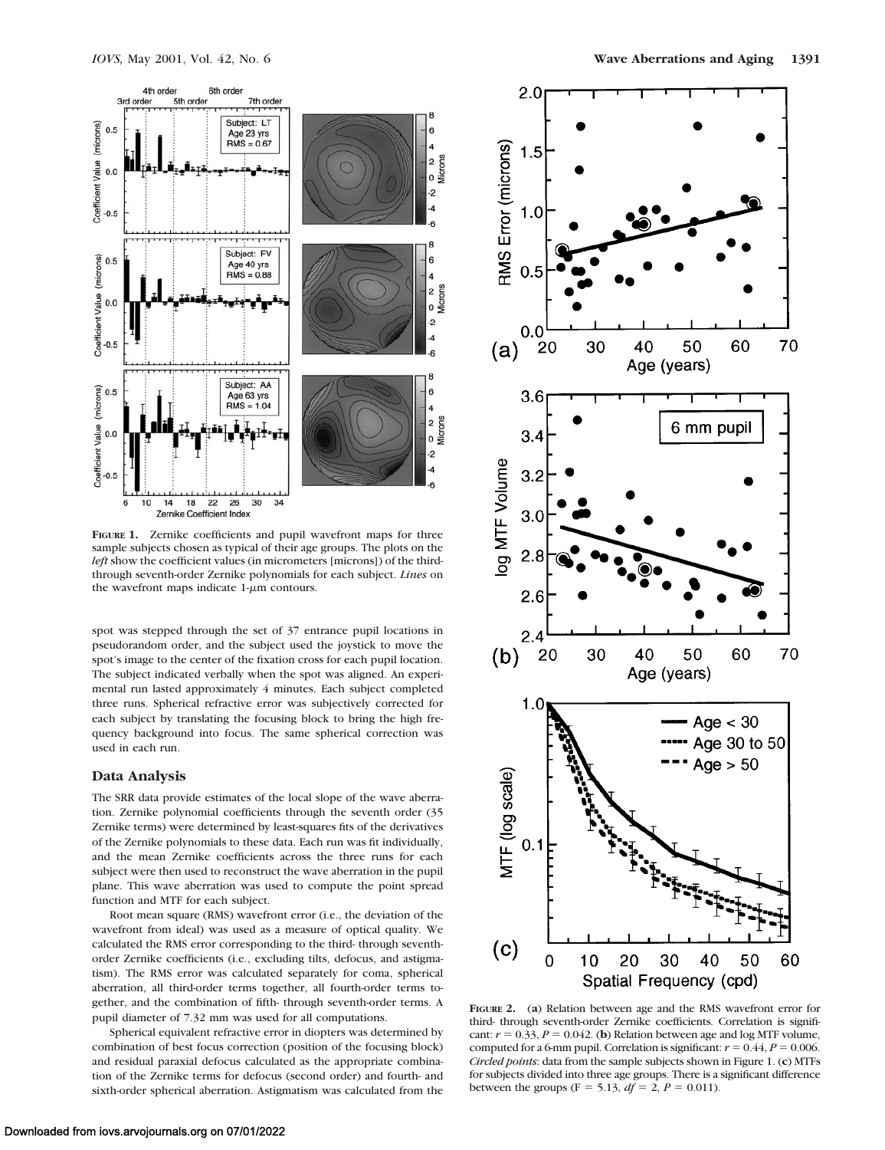

**FIGURE 1.** Zernike coefficients and pupil wavefront maps for three sample subjects chosen as typical of their age groups. The plots on the *left* show the coefficient values (in micrometers [microns]) of the thirdthrough seventh-order Zernike polynomials for each subject. *Lines* on the wavefront maps indicate  $1-\mu m$  contours.

spot was stepped through the set of 37 entrance pupil locations in pseudorandom order, and the subject used the joystick to move the spot's image to the center of the fixation cross for each pupil location. The subject indicated verbally when the spot was aligned. An experimental run lasted approximately 4 minutes. Each subject completed three runs. Spherical refractive error was subjectively corrected for each subject by translating the focusing block to bring the high frequency background into focus. The same spherical correction was used in each run.

#### **Data Analysis**

The SRR data provide estimates of the local slope of the wave aberration. Zernike polynomial coefficients through the seventh order (35 Zernike terms) were determined by least-squares fits of the derivatives of the Zernike polynomials to these data. Each run was fit individually, and the mean Zernike coefficients across the three runs for each subject were then used to reconstruct the wave aberration in the pupil plane. This wave aberration was used to compute the point spread function and MTF for each subject.

Root mean square (RMS) wavefront error (i.e., the deviation of the wavefront from ideal) was used as a measure of optical quality. We calculated the RMS error corresponding to the third- through seventhorder Zernike coefficients (i.e., excluding tilts, defocus, and astigmatism). The RMS error was calculated separately for coma, spherical aberration, all third-order terms together, all fourth-order terms together, and the combination of fifth- through seventh-order terms. A pupil diameter of 7.32 mm was used for all computations.

Spherical equivalent refractive error in diopters was determined by combination of best focus correction (position of the focusing block) and residual paraxial defocus calculated as the appropriate combination of the Zernike terms for defocus (second order) and fourth- and sixth-order spherical aberration. Astigmatism was calculated from the



**FIGURE 2.** (**a**) Relation between age and the RMS wavefront error for third- through seventh-order Zernike coefficients. Correlation is significant:  $r = 0.33$ ,  $P = 0.042$ . (**b**) Relation between age and log MTF volume, computed for a 6-mm pupil. Correlation is significant:  $r = 0.44$ ,  $P = 0.006$ . *Circled points*: data from the sample subjects shown in Figure 1. (**c**) MTFs for subjects divided into three age groups. There is a significant difference between the groups (F = 5.13,  $df = 2$ ,  $P = 0.011$ ).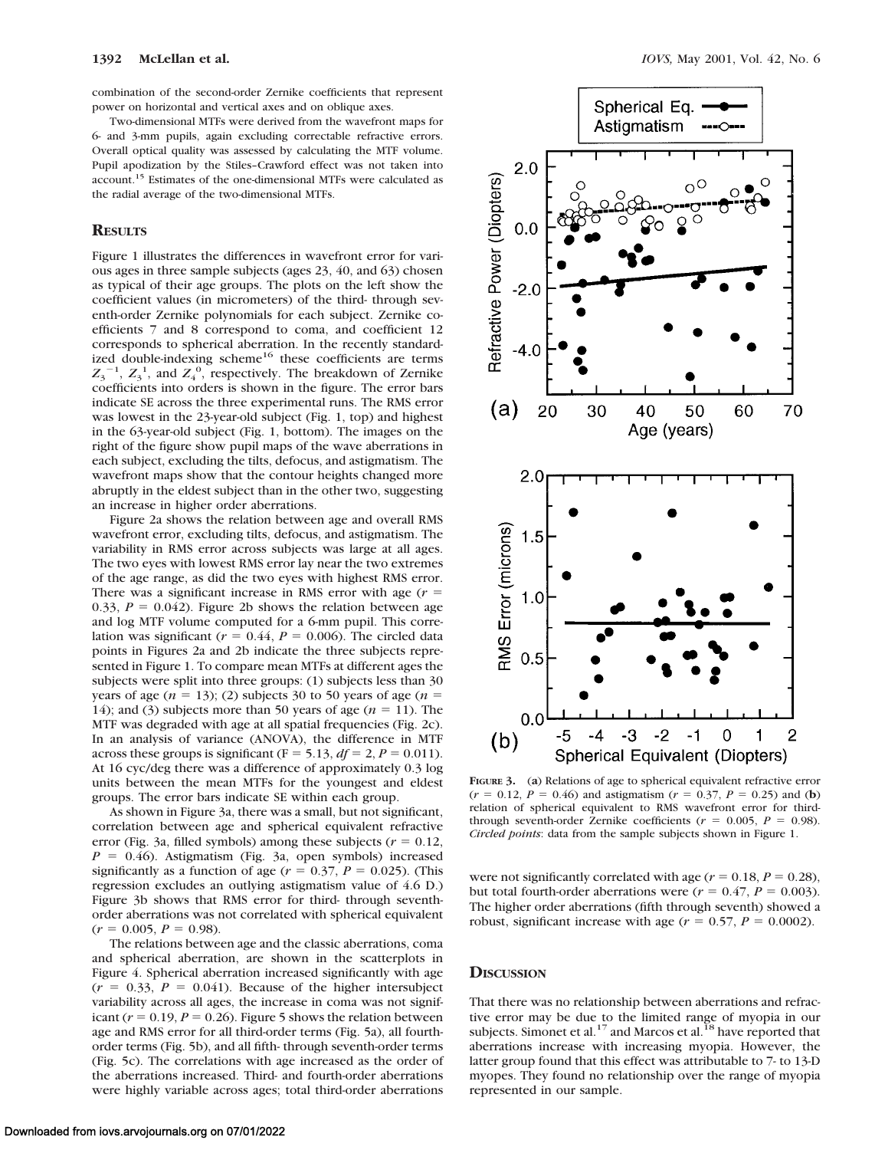combination of the second-order Zernike coefficients that represent power on horizontal and vertical axes and on oblique axes.

Two-dimensional MTFs were derived from the wavefront maps for 6- and 3-mm pupils, again excluding correctable refractive errors. Overall optical quality was assessed by calculating the MTF volume. Pupil apodization by the Stiles–Crawford effect was not taken into account.15 Estimates of the one-dimensional MTFs were calculated as the radial average of the two-dimensional MTFs.

# **RESULTS**

Figure 1 illustrates the differences in wavefront error for various ages in three sample subjects (ages 23, 40, and 63) chosen as typical of their age groups. The plots on the left show the coefficient values (in micrometers) of the third- through seventh-order Zernike polynomials for each subject. Zernike coefficients 7 and 8 correspond to coma, and coefficient 12 corresponds to spherical aberration. In the recently standardized double-indexing scheme<sup>16</sup> these coefficients are terms  $Z_3$ <sup>-1</sup>,  $Z_3$ <sup>1</sup>, and  $Z_4$ <sup>0</sup>, respectively. The breakdown of Zernike coefficients into orders is shown in the figure. The error bars indicate SE across the three experimental runs. The RMS error was lowest in the 23-year-old subject (Fig. 1, top) and highest in the 63-year-old subject (Fig. 1, bottom). The images on the right of the figure show pupil maps of the wave aberrations in each subject, excluding the tilts, defocus, and astigmatism. The wavefront maps show that the contour heights changed more abruptly in the eldest subject than in the other two, suggesting an increase in higher order aberrations.

Figure 2a shows the relation between age and overall RMS wavefront error, excluding tilts, defocus, and astigmatism. The variability in RMS error across subjects was large at all ages. The two eyes with lowest RMS error lay near the two extremes of the age range, as did the two eyes with highest RMS error. There was a significant increase in RMS error with age  $(r =$ 0.33,  $P = 0.042$ ). Figure 2b shows the relation between age and log MTF volume computed for a 6-mm pupil. This correlation was significant ( $r = 0.44$ ,  $P = 0.006$ ). The circled data points in Figures 2a and 2b indicate the three subjects represented in Figure 1. To compare mean MTFs at different ages the subjects were split into three groups: (1) subjects less than 30 years of age  $(n = 13)$ ; (2) subjects 30 to 50 years of age  $(n = 13)$ 14); and (3) subjects more than 50 years of age  $(n = 11)$ . The MTF was degraded with age at all spatial frequencies (Fig. 2c). In an analysis of variance (ANOVA), the difference in MTF across these groups is significant ( $F = 5.13$ ,  $df = 2$ ,  $P = 0.011$ ). At 16 cyc/deg there was a difference of approximately 0.3 log units between the mean MTFs for the youngest and eldest groups. The error bars indicate SE within each group.

As shown in Figure 3a, there was a small, but not significant, correlation between age and spherical equivalent refractive error (Fig. 3a, filled symbols) among these subjects ( $r = 0.12$ ,  $P = 0.46$ ). Astigmatism (Fig. 3a, open symbols) increased significantly as a function of age ( $r = 0.37$ ,  $P = 0.025$ ). (This regression excludes an outlying astigmatism value of 4.6 D.) Figure 3b shows that RMS error for third- through seventhorder aberrations was not correlated with spherical equivalent  $(r = 0.005, P = 0.98).$ 

The relations between age and the classic aberrations, coma and spherical aberration, are shown in the scatterplots in Figure 4. Spherical aberration increased significantly with age  $(r = 0.33, P = 0.041)$ . Because of the higher intersubject variability across all ages, the increase in coma was not significant ( $r = 0.19$ ,  $P = 0.26$ ). Figure 5 shows the relation between age and RMS error for all third-order terms (Fig. 5a), all fourthorder terms (Fig. 5b), and all fifth- through seventh-order terms (Fig. 5c). The correlations with age increased as the order of the aberrations increased. Third- and fourth-order aberrations were highly variable across ages; total third-order aberrations



**FIGURE 3.** (**a**) Relations of age to spherical equivalent refractive error  $(r = 0.12, P = 0.46)$  and astigmatism  $(r = 0.37, P = 0.25)$  and (**b**) relation of spherical equivalent to RMS wavefront error for thirdthrough seventh-order Zernike coefficients ( $r = 0.005$ ,  $P = 0.98$ ). *Circled points*: data from the sample subjects shown in Figure 1.

were not significantly correlated with age  $(r = 0.18, P = 0.28)$ , but total fourth-order aberrations were  $(r = 0.47, P = 0.003)$ . The higher order aberrations (fifth through seventh) showed a robust, significant increase with age  $(r = 0.57, P = 0.0002)$ .

## **DISCUSSION**

That there was no relationship between aberrations and refractive error may be due to the limited range of myopia in our subjects. Simonet et al.<sup>17</sup> and Marcos et al.<sup>18</sup> have reported that aberrations increase with increasing myopia. However, the latter group found that this effect was attributable to 7- to 13-D myopes. They found no relationship over the range of myopia represented in our sample.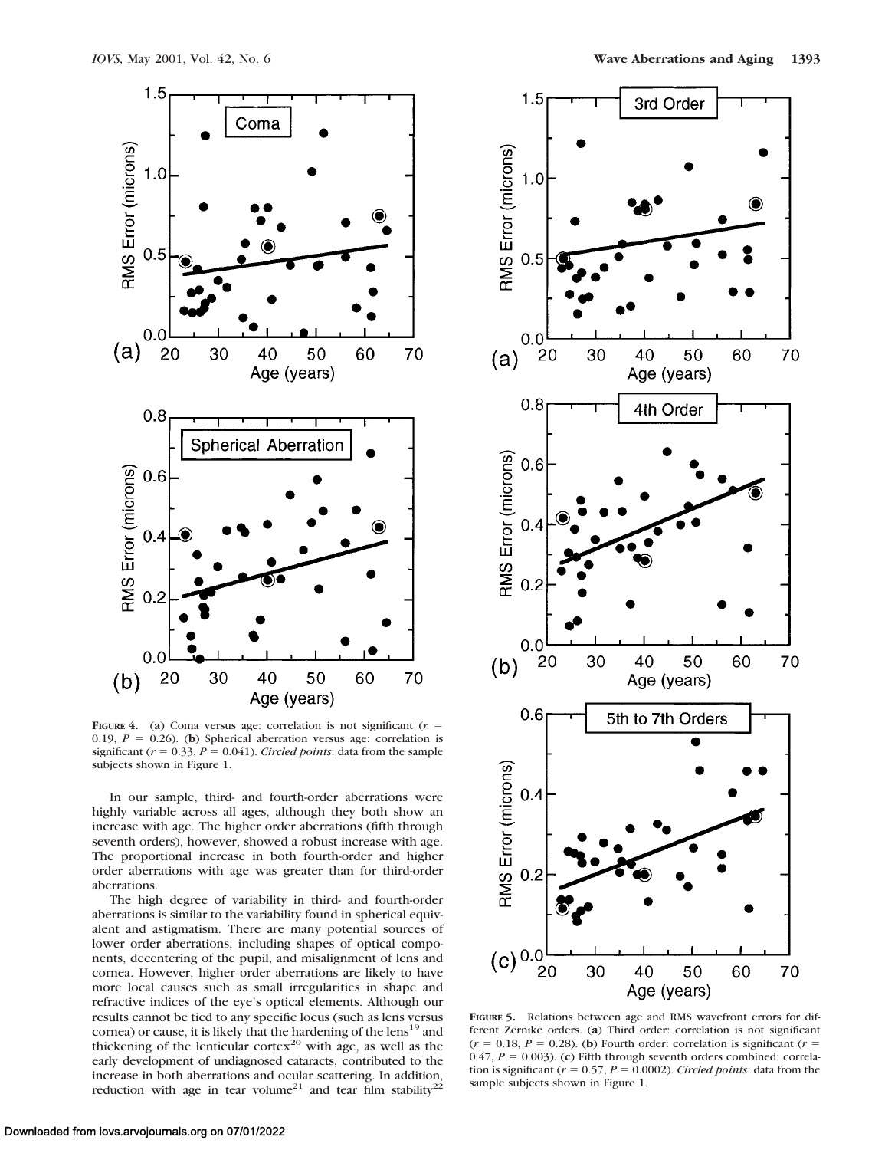

**FIGURE** 4. (a) Coma versus age: correlation is not significant ( $r =$ 0.19,  $P = 0.26$ ). (**b**) Spherical aberration versus age: correlation is significant ( $r = 0.33$ ,  $P = 0.041$ ). *Circled points*: data from the sample subjects shown in Figure 1.

In our sample, third- and fourth-order aberrations were highly variable across all ages, although they both show an increase with age. The higher order aberrations (fifth through seventh orders), however, showed a robust increase with age. The proportional increase in both fourth-order and higher order aberrations with age was greater than for third-order aberrations.

The high degree of variability in third- and fourth-order aberrations is similar to the variability found in spherical equivalent and astigmatism. There are many potential sources of lower order aberrations, including shapes of optical components, decentering of the pupil, and misalignment of lens and cornea. However, higher order aberrations are likely to have more local causes such as small irregularities in shape and refractive indices of the eye's optical elements. Although our results cannot be tied to any specific locus (such as lens versus cornea) or cause, it is likely that the hardening of the lens<sup>19</sup> and thickening of the lenticular cortex<sup>20</sup> with age, as well as the early development of undiagnosed cataracts, contributed to the increase in both aberrations and ocular scattering. In addition, reduction with age in tear volume<sup>21</sup> and tear film stability<sup>2</sup>



**FIGURE 5.** Relations between age and RMS wavefront errors for different Zernike orders. (**a**) Third order: correlation is not significant  $(r = 0.18, P = 0.28)$ . (**b**) Fourth order: correlation is significant ( $r =$ 0.47,  $P = 0.003$ ). (**c**) Fifth through seventh orders combined: correlation is significant ( $r = 0.57$ ,  $P = 0.0002$ ). *Circled points*: data from the sample subjects shown in Figure 1.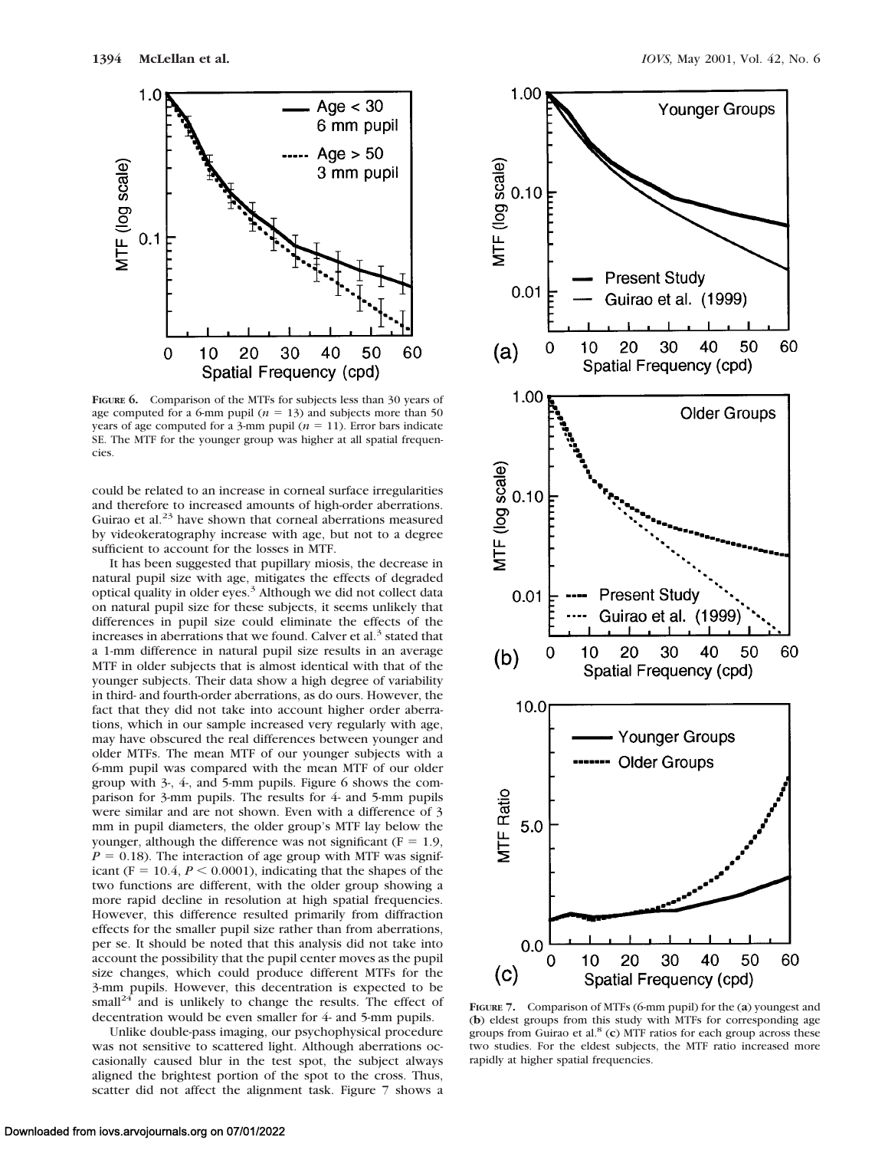

**FIGURE 6.** Comparison of the MTFs for subjects less than 30 years of age computed for a 6-mm pupil  $(n = 13)$  and subjects more than 50 years of age computed for a 3-mm pupil  $(n = 11)$ . Error bars indicate SE. The MTF for the younger group was higher at all spatial frequencies.

could be related to an increase in corneal surface irregularities and therefore to increased amounts of high-order aberrations. Guirao et al.<sup>23</sup> have shown that corneal aberrations measured by videokeratography increase with age, but not to a degree sufficient to account for the losses in MTF.

It has been suggested that pupillary miosis, the decrease in natural pupil size with age, mitigates the effects of degraded optical quality in older eyes.<sup>3</sup> Although we did not collect data on natural pupil size for these subjects, it seems unlikely that differences in pupil size could eliminate the effects of the increases in aberrations that we found. Calver et al.<sup>3</sup> stated that a 1-mm difference in natural pupil size results in an average MTF in older subjects that is almost identical with that of the younger subjects. Their data show a high degree of variability in third- and fourth-order aberrations, as do ours. However, the fact that they did not take into account higher order aberrations, which in our sample increased very regularly with age, may have obscured the real differences between younger and older MTFs. The mean MTF of our younger subjects with a 6-mm pupil was compared with the mean MTF of our older group with 3-, 4-, and 5-mm pupils. Figure 6 shows the comparison for 3-mm pupils. The results for 4- and 5-mm pupils were similar and are not shown. Even with a difference of 3 mm in pupil diameters, the older group's MTF lay below the younger, although the difference was not significant ( $F = 1.9$ ,  $P = 0.18$ ). The interaction of age group with MTF was significant ( $F = 10.4$ ,  $P \le 0.0001$ ), indicating that the shapes of the two functions are different, with the older group showing a more rapid decline in resolution at high spatial frequencies. However, this difference resulted primarily from diffraction effects for the smaller pupil size rather than from aberrations, per se. It should be noted that this analysis did not take into account the possibility that the pupil center moves as the pupil size changes, which could produce different MTFs for the 3-mm pupils. However, this decentration is expected to be small<sup>24</sup> and is unlikely to change the results. The effect of decentration would be even smaller for 4- and 5-mm pupils.

Unlike double-pass imaging, our psychophysical procedure was not sensitive to scattered light. Although aberrations occasionally caused blur in the test spot, the subject always aligned the brightest portion of the spot to the cross. Thus, scatter did not affect the alignment task. Figure 7 shows a



**FIGURE 7.** Comparison of MTFs (6-mm pupil) for the (**a**) youngest and (**b**) eldest groups from this study with MTFs for corresponding age groups from Guirao et al.8 (**c**) MTF ratios for each group across these two studies. For the eldest subjects, the MTF ratio increased more rapidly at higher spatial frequencies.